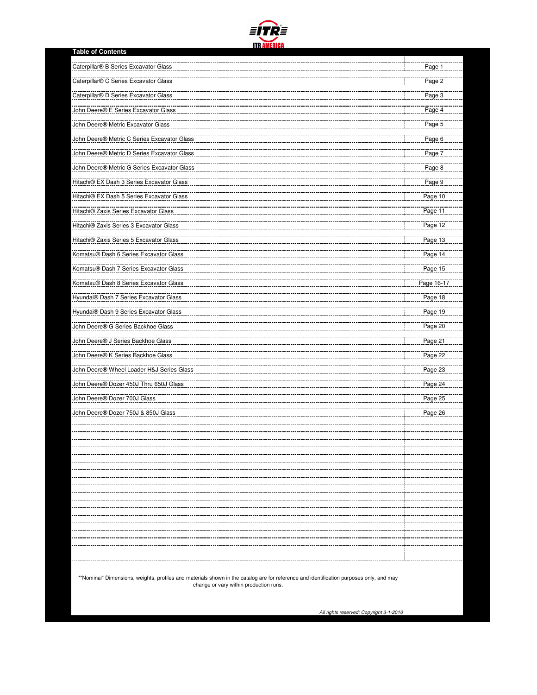

| <b>Table of Contents</b>                    |                          |
|---------------------------------------------|--------------------------|
| Caterpillar® B Series Excavator Glass       | Page 1                   |
| Caterpillar® C Series Excavator Glass       | Page 2                   |
| Caterpillar® D Series Excavator Glass       | Page 3                   |
| <b>John Deere® E Series Excavator Glass</b> | Page 4                   |
| John Deere® Metric Excavator Glass          | Page 5                   |
| John Deere® Metric C Series Excavator Glass | Page 6                   |
| John Deere® Metric D Series Excavator Glass | Page 7                   |
| John Deere® Metric G Series Excavator Glass | Page 8                   |
| Hitachi® EX Dash 3 Series Excavator Glass   | Page 9                   |
| Hitachi® EX Dash 5 Series Excavator Glass   | Page 10                  |
| Hitachi® Zaxis Series Excavator Glass       | Page 11                  |
| Hitachi® Zaxis Series 3 Excavator Glass     | Page 12                  |
| Hitachi® Zaxis Series 5 Excavator Glass     | Page 13                  |
| Komatsu® Dash 6 Series Excavator Glass      | Page 14                  |
| Komatsu® Dash 7 Series Excavator Glass      | Page 15                  |
| Komatsu® Dash 8 Series Excavator Glass      | Page 16-17               |
| Hyundai® Dash 7 Series Excavator Glass      | Page 18                  |
| Hyundai® Dash 9 Series Excavator Glass      | Page 19                  |
| John Deere® G Series Backhoe Glass          | Page 20                  |
| John Deere® J Series Backhoe Glass          | Page 21                  |
| John Deere® K Series Backhoe Glass          | Page 22                  |
| John Deere® Wheel Loader H&J Series Glass   | Page 23                  |
| John Deere® Dozer 450J Thru 650J Glass      | Page 24                  |
| John Deere® Dozer 700J Glass                | Page 25                  |
| John Deere® Dozer 750J & 850J Glass         | Page 26                  |
|                                             |                          |
|                                             |                          |
|                                             |                          |
|                                             | ---------                |
|                                             |                          |
|                                             |                          |
|                                             |                          |
|                                             |                          |
|                                             | ---------<br>----------- |
|                                             |                          |
|                                             |                          |

\*"Nominal" Dimensions, weights, profiles and materials shown in the catalog are for reference and identification purposes only, and may change or vary within production runs.

All rights reserved: Copyright 3-1-2010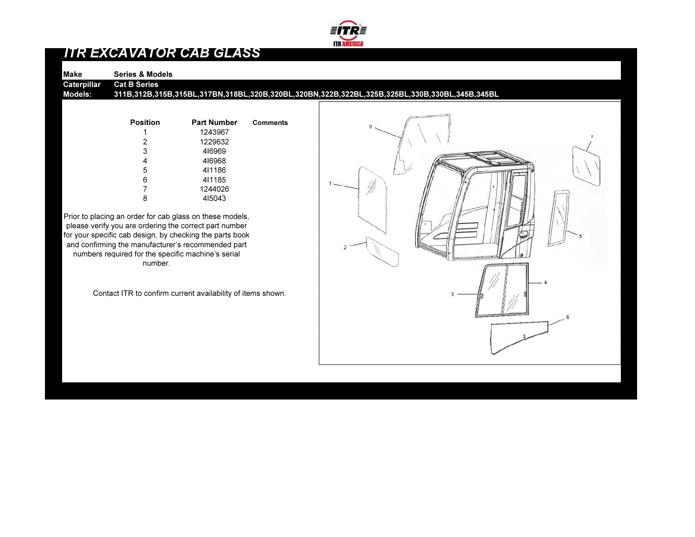

## ITR EXCAVATOR CAB GLASS

Make Series & ModelsCaterpillar Cat B Series

> Position Part Number**Comments** 1 1243967 2 1229632 3 4I6969 4 4I6968 5 4I1186 6 4I1185 7 12440268 4I5043

Prior to placing an order for cab glass on these models, please verify you are ordering the correct part number for your specific cab design, by checking the parts book and confirming the manufacturer's recommended part numbers required for the specific machine's serial number.

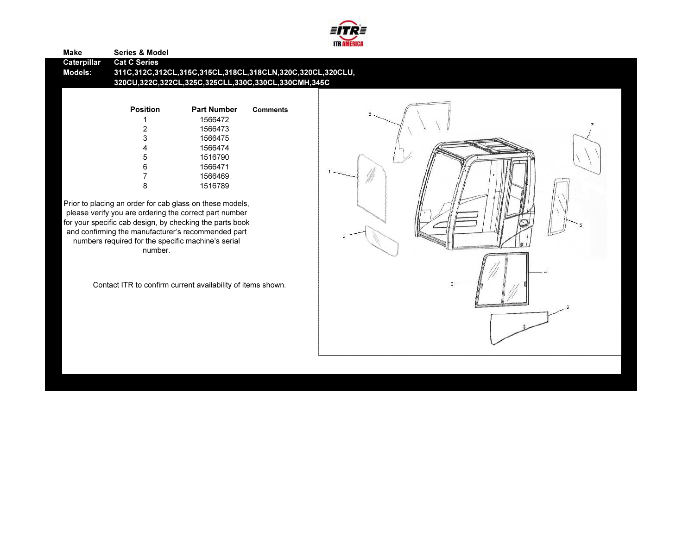

| <b>Make</b>            | <b>Series &amp; Model</b>  |                                                                                                                   |                 |  |
|------------------------|----------------------------|-------------------------------------------------------------------------------------------------------------------|-----------------|--|
| Caterpillar<br>Models: | <b>Cat C Series</b>        | 311C,312C,312CL,315C,315CL,318CL,318CLN,320C,320CL,320CLU,<br>320CU,322C,322CL,325C,325CLL,330C,330CL,330CMH,345C |                 |  |
|                        | <b>Position</b>            | <b>Part Number</b><br>1566472                                                                                     | <b>Comments</b> |  |
|                        | 2<br>3<br>4<br>5<br>6<br>8 | 1566473<br>1566475<br>1566474<br>1516790<br>1566471<br>1566469<br>1516789                                         |                 |  |

Prior to placing an order for cab glass on these models,<br>please verify you are ordering the correct part number<br>for your specific cab design, by checking the parts book<br>and confirming the manufacturer's recommended part<br>nu number.

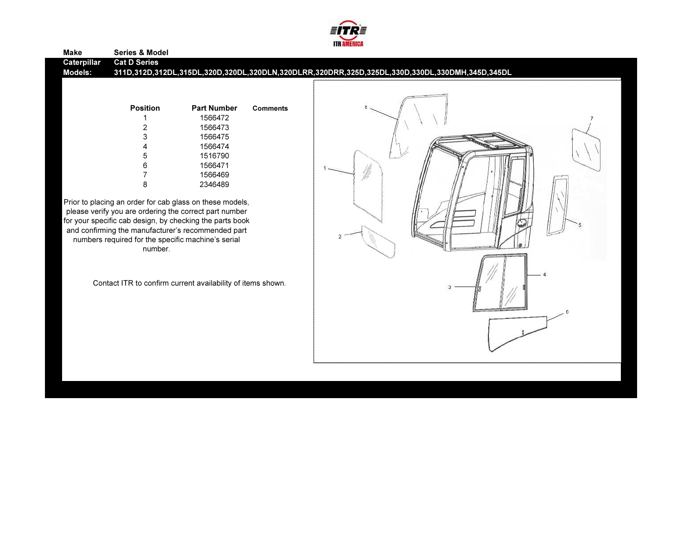

| <b>Make</b>                   | <b>Series &amp; Model</b>                                                                                                                                                                                                                                                                             |                                                                                      |                 |                                                                                                |
|-------------------------------|-------------------------------------------------------------------------------------------------------------------------------------------------------------------------------------------------------------------------------------------------------------------------------------------------------|--------------------------------------------------------------------------------------|-----------------|------------------------------------------------------------------------------------------------|
| Caterpillar<br><b>Models:</b> | <b>Cat D Series</b>                                                                                                                                                                                                                                                                                   |                                                                                      |                 | 311D,312D,312DL,315DL,320D,320DL,320DLN,320DLRR,320DRR,325D,325DL,330D,330DL,330DMH,345D,345DL |
|                               | <b>Position</b><br>6                                                                                                                                                                                                                                                                                  | <b>Part Number</b><br>1566472<br>1566473<br>1566475<br>1566474<br>1516790<br>1566471 | <b>Comments</b> |                                                                                                |
|                               | 8                                                                                                                                                                                                                                                                                                     | 1566469<br>2346489                                                                   |                 |                                                                                                |
|                               | Prior to placing an order for cab glass on these models,<br>please verify you are ordering the correct part number<br>for your specific cab design, by checking the parts book<br>and confirming the manufacturer's recommended part<br>numbers required for the specific machine's serial<br>number. |                                                                                      |                 |                                                                                                |

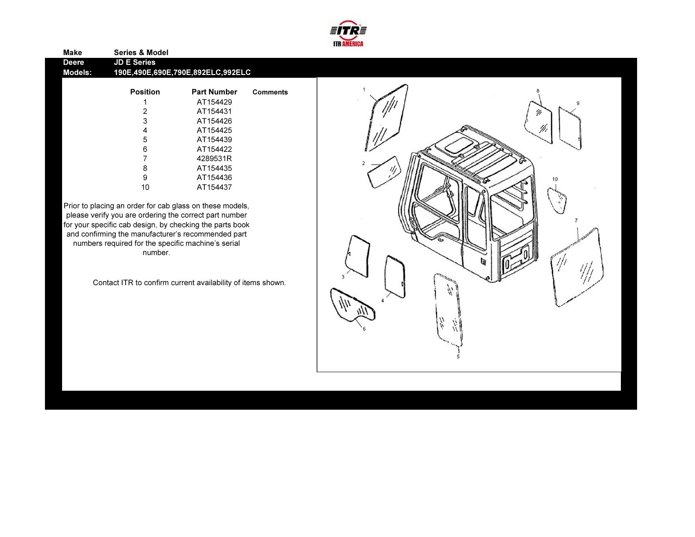

| Make    | <b>Series &amp; Model</b> |                                   |                 |
|---------|---------------------------|-----------------------------------|-----------------|
| Deere   | <b>JD E Series</b>        |                                   |                 |
| Models: |                           | 190E,490E,690E,790E,892ELC,992ELC |                 |
|         |                           |                                   |                 |
|         | <b>Position</b>           | <b>Part Number</b>                | <b>Comments</b> |
|         |                           | AT154429                          |                 |
|         | 2                         | AT154431                          |                 |
|         | 3                         | AT154426                          |                 |
|         | 4                         | AT154425                          |                 |
|         | 5                         | AT154439                          |                 |
|         | 6                         | AT154422                          |                 |

 7 4289531R 8 AT154435 9 AT15443610 AT154437

Prior to placing an order for cab glass on these models, please verify you are ordering the correct part number for your specific cab design, by checking the parts book and confirming the manufacturer's recommended part numbers required for the specific machine's serial number.

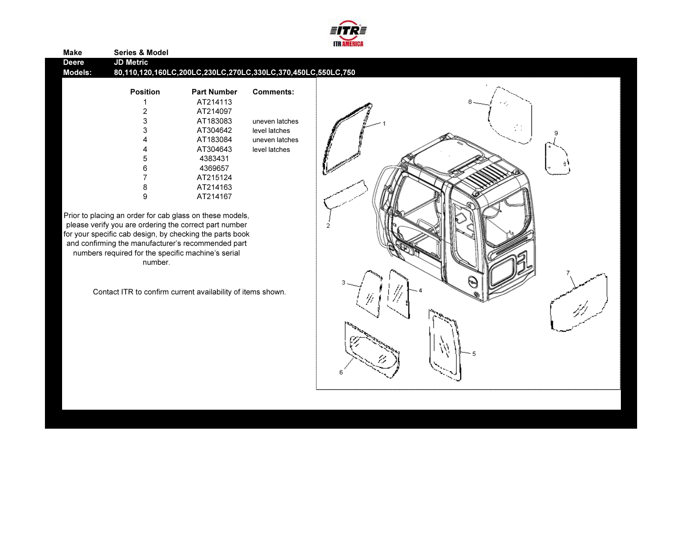

| Make           | <b>Series &amp; Model</b>                                                                                                                                                                                                                                                                             |                                                              |                  |        |
|----------------|-------------------------------------------------------------------------------------------------------------------------------------------------------------------------------------------------------------------------------------------------------------------------------------------------------|--------------------------------------------------------------|------------------|--------|
| <b>Deere</b>   | <b>JD Metric</b>                                                                                                                                                                                                                                                                                      |                                                              |                  |        |
| <b>Models:</b> |                                                                                                                                                                                                                                                                                                       | 80,110,120,160LC,200LC,230LC,270LC,330LC,370,450LC,550LC,750 |                  |        |
|                | <b>Position</b>                                                                                                                                                                                                                                                                                       | <b>Part Number</b>                                           | <b>Comments:</b> |        |
|                |                                                                                                                                                                                                                                                                                                       | AT214113                                                     |                  |        |
|                | $\overline{c}$                                                                                                                                                                                                                                                                                        | AT214097                                                     |                  |        |
|                | 3                                                                                                                                                                                                                                                                                                     | AT183083                                                     | uneven latches   |        |
|                | 3                                                                                                                                                                                                                                                                                                     | AT304642                                                     | level latches    |        |
|                |                                                                                                                                                                                                                                                                                                       | AT183084                                                     | uneven latches   |        |
|                |                                                                                                                                                                                                                                                                                                       | AT304643                                                     | level latches    |        |
|                | 5                                                                                                                                                                                                                                                                                                     | 4383431                                                      |                  |        |
|                | 6                                                                                                                                                                                                                                                                                                     | 4369657                                                      |                  |        |
|                |                                                                                                                                                                                                                                                                                                       | AT215124                                                     |                  |        |
|                | 8                                                                                                                                                                                                                                                                                                     | AT214163                                                     |                  |        |
|                | 9                                                                                                                                                                                                                                                                                                     | AT214167                                                     |                  |        |
|                | Prior to placing an order for cab glass on these models,<br>please verify you are ordering the correct part number<br>for your specific cab design, by checking the parts book<br>and confirming the manufacturer's recommended part<br>numbers required for the specific machine's serial<br>number. |                                                              |                  |        |
|                | Contact ITR to confirm current availability of items shown.                                                                                                                                                                                                                                           |                                                              |                  | $\sim$ |
|                |                                                                                                                                                                                                                                                                                                       |                                                              |                  |        |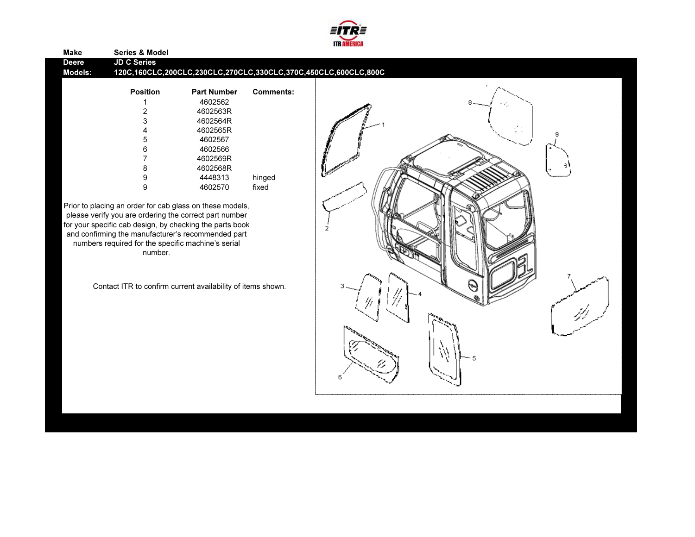

| <b>Make</b><br><b>Deere</b><br><b>Models:</b> | <b>Series &amp; Model</b><br><b>JD C Series</b> |                    |                  | 120C,160CLC,200CLC,230CLC,270CLC,330CLC,370C,450CLC,600CLC,800C |
|-----------------------------------------------|-------------------------------------------------|--------------------|------------------|-----------------------------------------------------------------|
|                                               | <b>Position</b>                                 | <b>Part Number</b> | <b>Comments:</b> |                                                                 |
|                                               |                                                 | 4602562            |                  | -4                                                              |
|                                               |                                                 | 4602563R           |                  |                                                                 |
|                                               |                                                 | 4602564R           |                  |                                                                 |
|                                               |                                                 | 4602565R           |                  | V.                                                              |
|                                               |                                                 | 4602567            |                  |                                                                 |
|                                               |                                                 | 4602566            |                  |                                                                 |
|                                               |                                                 | 4602569R           |                  |                                                                 |
|                                               |                                                 | 4602568R           |                  |                                                                 |
|                                               |                                                 | 4448313            | hinged           |                                                                 |
|                                               |                                                 | 4602570            | fixed            |                                                                 |

please verify you are ordering the correct part number<br>for your specific cab design, by checking the parts book<br>and confirming the manufacturer's recommended part<br>numbers required for the specific machine's serial<br>number.

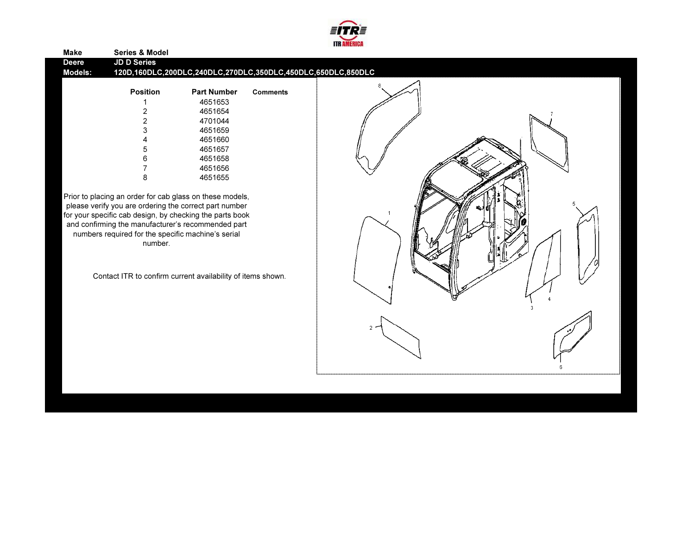

|                |                                                                                                                                                                                                                                                                                                       |                                                              |                 | <b>IID AMERICA</b> |  |
|----------------|-------------------------------------------------------------------------------------------------------------------------------------------------------------------------------------------------------------------------------------------------------------------------------------------------------|--------------------------------------------------------------|-----------------|--------------------|--|
| <b>Make</b>    | <b>Series &amp; Model</b>                                                                                                                                                                                                                                                                             |                                                              |                 |                    |  |
| <b>Deere</b>   | <b>JD D Series</b>                                                                                                                                                                                                                                                                                    |                                                              |                 |                    |  |
| <b>Models:</b> |                                                                                                                                                                                                                                                                                                       | 120D,160DLC,200DLC,240DLC,270DLC,350DLC,450DLC,650DLC,850DLC |                 |                    |  |
|                | <b>Position</b>                                                                                                                                                                                                                                                                                       | <b>Part Number</b>                                           | <b>Comments</b> |                    |  |
|                |                                                                                                                                                                                                                                                                                                       | 4651653                                                      |                 |                    |  |
|                | 2                                                                                                                                                                                                                                                                                                     | 4651654                                                      |                 |                    |  |
|                | $\overline{c}$                                                                                                                                                                                                                                                                                        | 4701044                                                      |                 |                    |  |
|                | 3                                                                                                                                                                                                                                                                                                     | 4651659                                                      |                 |                    |  |
|                |                                                                                                                                                                                                                                                                                                       | 4651660                                                      |                 |                    |  |
|                | 5                                                                                                                                                                                                                                                                                                     | 4651657                                                      |                 |                    |  |
|                | 6                                                                                                                                                                                                                                                                                                     | 4651658                                                      |                 |                    |  |
|                |                                                                                                                                                                                                                                                                                                       | 4651656                                                      |                 |                    |  |
|                | 8                                                                                                                                                                                                                                                                                                     | 4651655                                                      |                 |                    |  |
|                | Prior to placing an order for cab glass on these models,<br>please verify you are ordering the correct part number<br>for your specific cab design, by checking the parts book<br>and confirming the manufacturer's recommended part<br>numbers required for the specific machine's serial<br>number. |                                                              |                 |                    |  |
|                | Contact ITR to confirm current availability of items shown.                                                                                                                                                                                                                                           |                                                              |                 |                    |  |
|                |                                                                                                                                                                                                                                                                                                       |                                                              |                 |                    |  |

 $6<sup>1</sup>$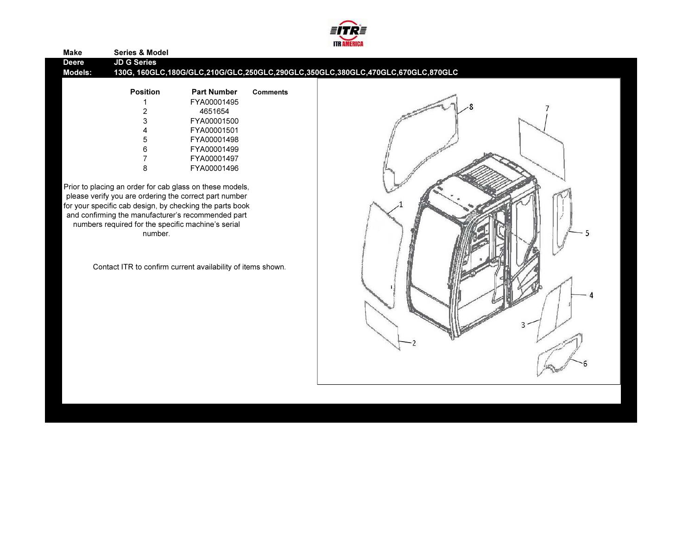

| <b>Make</b>                    | <b>Series &amp; Model</b>                          |                                                             |                 |                                                                                 |
|--------------------------------|----------------------------------------------------|-------------------------------------------------------------|-----------------|---------------------------------------------------------------------------------|
| <b>Deere</b><br><b>Models:</b> | <b>JD G Series</b>                                 |                                                             |                 | 130G, 160GLC,180G/GLC,210G/GLC,250GLC,290GLC,350GLC,380GLC,470GLC,670GLC,870GLC |
|                                | <b>Position</b>                                    | <b>Part Number</b>                                          | <b>Comments</b> |                                                                                 |
|                                |                                                    | FYA00001495                                                 |                 |                                                                                 |
|                                |                                                    | 4651654                                                     |                 |                                                                                 |
|                                | 3                                                  | FYA00001500                                                 |                 |                                                                                 |
|                                |                                                    | FYA00001501                                                 |                 |                                                                                 |
|                                | 5                                                  | FYA00001498                                                 |                 |                                                                                 |
|                                | 6                                                  | FYA00001499                                                 |                 |                                                                                 |
|                                |                                                    | FYA00001497                                                 |                 |                                                                                 |
|                                | 8                                                  | FYA00001496                                                 |                 |                                                                                 |
|                                |                                                    |                                                             |                 |                                                                                 |
|                                |                                                    | Prior to placing an order for cab glass on these models,    |                 |                                                                                 |
|                                |                                                    | please verify you are ordering the correct part number      |                 |                                                                                 |
|                                |                                                    | for your specific cab design, by checking the parts book    |                 |                                                                                 |
|                                |                                                    | and confirming the manufacturer's recommended part          |                 |                                                                                 |
|                                | numbers required for the specific machine's serial |                                                             |                 |                                                                                 |
|                                | number.                                            |                                                             |                 |                                                                                 |
|                                |                                                    |                                                             |                 |                                                                                 |
|                                |                                                    |                                                             |                 |                                                                                 |
|                                |                                                    | Contact ITR to confirm current availability of items shown. |                 |                                                                                 |
|                                |                                                    |                                                             |                 |                                                                                 |
|                                |                                                    |                                                             |                 |                                                                                 |
|                                |                                                    |                                                             |                 |                                                                                 |
|                                |                                                    |                                                             |                 |                                                                                 |
|                                |                                                    |                                                             |                 |                                                                                 |
|                                |                                                    |                                                             |                 |                                                                                 |
|                                |                                                    |                                                             |                 |                                                                                 |
|                                |                                                    |                                                             |                 |                                                                                 |

 $-2$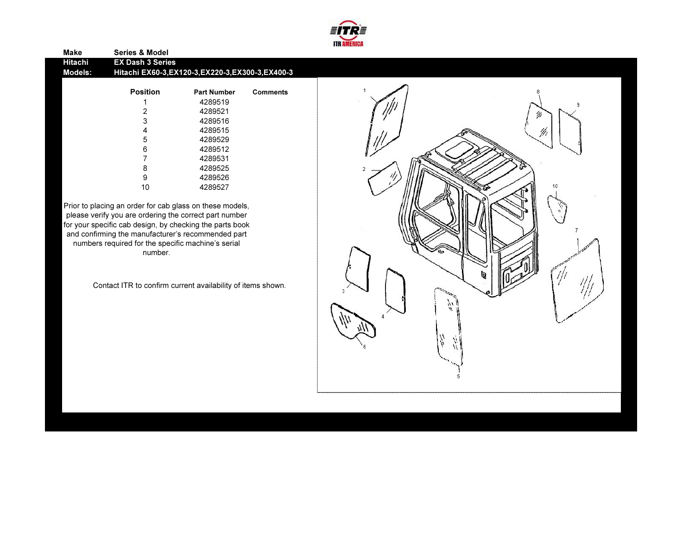

| <b>Make</b> | <b>Series &amp; Model</b>                          |                    |                 |  |
|-------------|----------------------------------------------------|--------------------|-----------------|--|
| Hitachi     | <b>EX Dash 3 Series</b>                            |                    |                 |  |
| Models:     | Hitachi EX60-3, EX120-3, EX220-3, EX300-3, EX400-3 |                    |                 |  |
|             |                                                    |                    |                 |  |
|             | <b>Position</b>                                    | <b>Part Number</b> | <b>Comments</b> |  |
|             | 1                                                  | 4289519            |                 |  |
|             | 2                                                  | 4289521            |                 |  |
|             | 3                                                  | 4289516            |                 |  |
|             | 4                                                  | 4289515            |                 |  |
|             | 5                                                  | 4289529            |                 |  |
|             | 6                                                  | 4289512            |                 |  |
|             | 7                                                  | 4289531            |                 |  |
|             | 8                                                  | 4289525            |                 |  |
|             | 9                                                  | 4289526            |                 |  |
|             | 10                                                 | 4289527            |                 |  |
|             |                                                    |                    |                 |  |

Prior to placing an order for cab glass on these models, please verify you are ordering the correct part number for your specific cab design, by checking the parts book and confirming the manufacturer's recommended part numbers required for the specific machine's serial number.

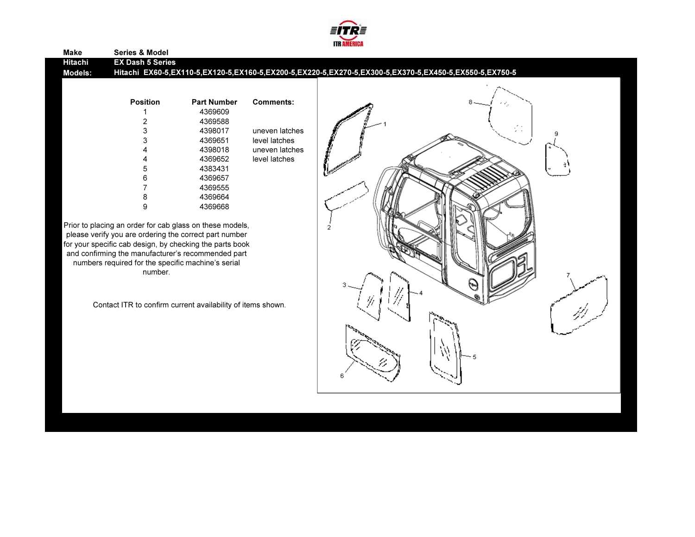

### Make Series & Model Hitachi EX Dash 5 Series Hitachi EX60-5,EX110-5,EX120-5,EX160-5,EX200-5,EX220-5,EX270-5,EX300-5,EX370-5,EX450-5,EX550-5,EX750-5Models:Position Part Number Comments:1 4369609 2 43695884398017 3 4398017 uneven latches3 4369651 level latches 4 4398018 uneven latches4 4369652 level latches5 4383431 6 4369657 7 4369555 8 4369664 9 4369668Prior to placing an order for cab glass on these models, please verify you are ordering the correct part number for your specific cab design, by checking the parts book and confirming the manufacturer's recommended part numbers required for the specific machine's serial number.Contact ITR to confirm current availability of items shown.

E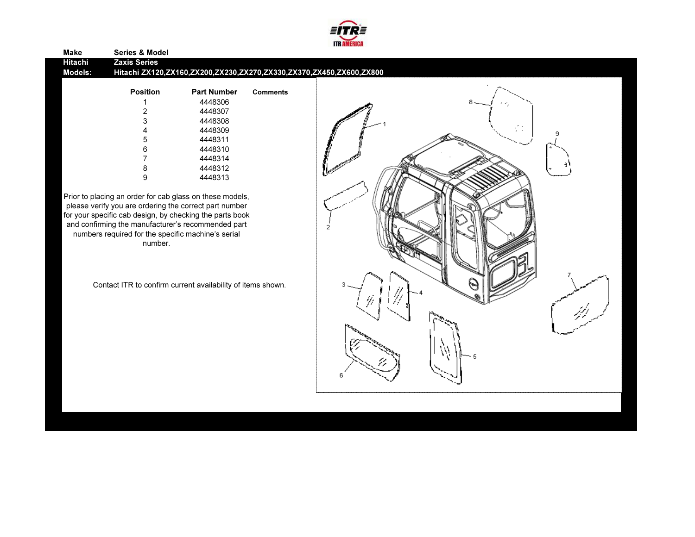

| <b>Make</b> | <b>Series &amp; Model</b>                                     |                                                             |                 |                                                                     |
|-------------|---------------------------------------------------------------|-------------------------------------------------------------|-----------------|---------------------------------------------------------------------|
| Hitachi     | <b>Zaxis Series</b>                                           |                                                             |                 |                                                                     |
| Models:     |                                                               |                                                             |                 | Hitachi ZX120,ZX160,ZX200,ZX230,ZX270,ZX330,ZX370,ZX450,ZX600,ZX800 |
|             | <b>Position</b>                                               | <b>Part Number</b>                                          | <b>Comments</b> |                                                                     |
|             |                                                               | 4448306                                                     |                 |                                                                     |
|             | 2                                                             | 4448307                                                     |                 |                                                                     |
|             | 3                                                             | 4448308                                                     |                 |                                                                     |
|             | Δ                                                             | 4448309                                                     |                 |                                                                     |
|             | 5                                                             | 4448311                                                     |                 |                                                                     |
|             | 6                                                             | 4448310                                                     |                 |                                                                     |
|             | 7                                                             | 4448314                                                     |                 |                                                                     |
|             | 8                                                             | 4448312                                                     |                 |                                                                     |
|             | 9                                                             | 4448313                                                     |                 |                                                                     |
|             | numbers required for the specific machine's serial<br>number. |                                                             |                 |                                                                     |
|             |                                                               | Contact ITR to confirm current availability of items shown. |                 | (~)                                                                 |
|             |                                                               |                                                             |                 |                                                                     |
|             |                                                               |                                                             |                 |                                                                     |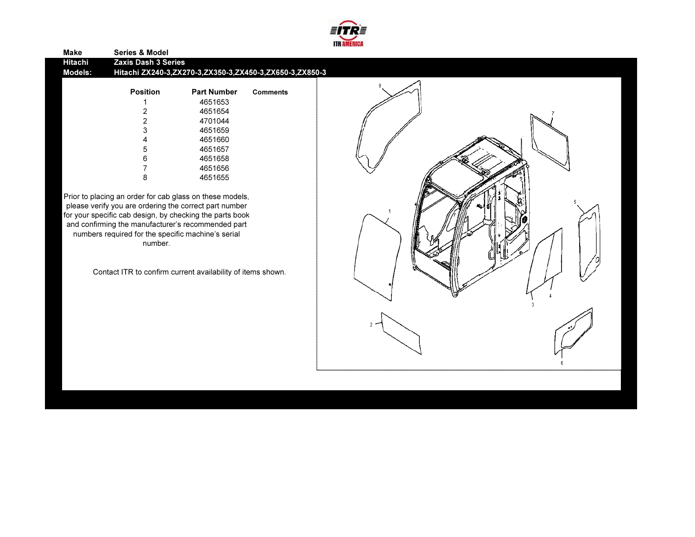

| <b>Position</b> | <b>Part Number</b> | <b>Comments</b>            | 8                                                       |
|-----------------|--------------------|----------------------------|---------------------------------------------------------|
|                 | 4651653            |                            |                                                         |
| 2               | 4651654            |                            |                                                         |
| 2               | 4701044            |                            |                                                         |
| 3               | 4651659            |                            |                                                         |
| 4               | 4651660            |                            |                                                         |
| 5               | 4651657            |                            |                                                         |
| 6               | 4651658            |                            |                                                         |
|                 | 4651656            |                            |                                                         |
| 8               | 4651655            |                            |                                                         |
|                 |                    | <b>Zaxis Dash 3 Series</b> | Hitachi ZX240-3,ZX270-3,ZX350-3,ZX450-3,ZX650-3,ZX850-3 |

Prior to placing an order for cab glass on these models,<br>please verify you are ordering the correct part number<br>for your specific cab design, by checking the parts book<br>and confirming the manufacturer's recommended part<br>nu number.

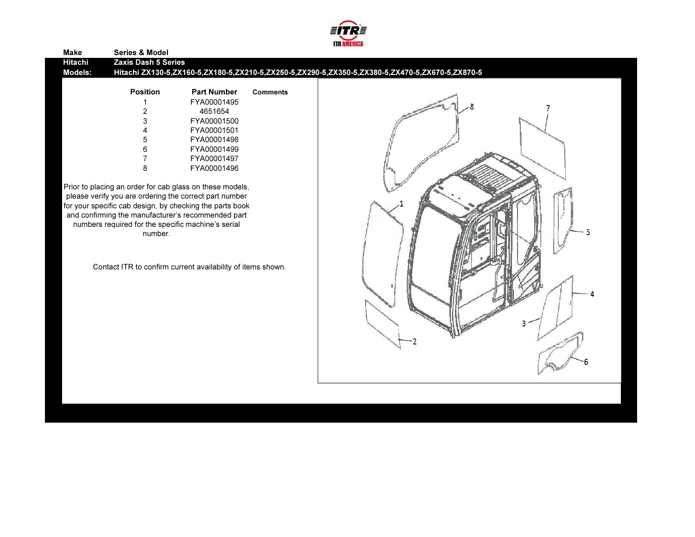

| <b>Make</b>        | <b>Series &amp; Model</b>                                                             |                                                                                                                                                                                                                                                                                                                                                                                |                 |                                                                                                 |
|--------------------|---------------------------------------------------------------------------------------|--------------------------------------------------------------------------------------------------------------------------------------------------------------------------------------------------------------------------------------------------------------------------------------------------------------------------------------------------------------------------------|-----------------|-------------------------------------------------------------------------------------------------|
| Hitachi<br>Models: | <b>Zaxis Dash 5 Series</b>                                                            |                                                                                                                                                                                                                                                                                                                                                                                |                 | Hitachi ZX130-5,ZX160-5,ZX180-5,ZX210-5,ZX250-5,ZX290-5,ZX350-5,ZX380-5,ZX470-5,ZX670-5,ZX870-5 |
|                    | <b>Position</b><br>8<br>numbers required for the specific machine's serial<br>number. | <b>Part Number</b><br>FYA00001495<br>4651654<br>FYA00001500<br>FYA00001501<br>FYA00001498<br>FYA00001499<br>FYA00001497<br>FYA00001496<br>Prior to placing an order for cab glass on these models,<br>please verify you are ordering the correct part number<br>for your specific cab design, by checking the parts book<br>and confirming the manufacturer's recommended part | <b>Comments</b> |                                                                                                 |

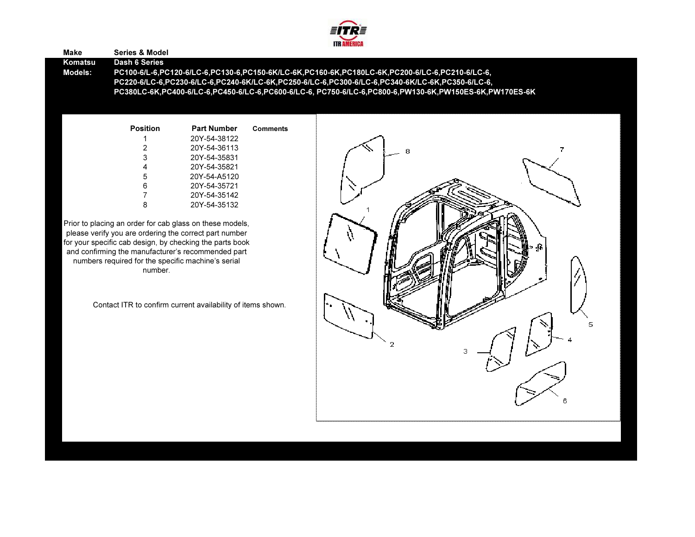

#### Make Series & ModelKomatsu Dash 6 Series PC100-6/L-6,PC120-6/LC-6,PC130-6,PC150-6K/LC-6K,PC160-6K,PC180LC-6K,PC200-6/LC-6,PC210-6/LC-6, Models:Position Part Number**Comments** 1 20Y-54-38122 PC220-6/LC-6,PC230-6/LC-6,PC240-6K/LC-6K,PC250-6/LC-6,PC300-6/LC-6,PC340-6K/LC-6K,PC350-6/LC-6, PC380LC-6K,PC400-6/LC-6,PC450-6/LC-6,PC600-6/LC-6, PC750-6/LC-6,PC800-6,PW130-6K,PW150ES-6K,PW170ES-6K

| 2 | 20Y-54-36113 |
|---|--------------|
| 3 | 20Y-54-35831 |
| 4 | 20Y-54-35821 |
| 5 | 20Y-54-A5120 |
| 6 | 20Y-54-35721 |
| 7 | 20Y-54-35142 |
| 8 | 20Y-54-35132 |
|   |              |

Prior to placing an order for cab glass on these models, please verify you are ordering the correct part number for your specific cab design, by checking the parts book and confirming the manufacturer's recommended part numbers required for the specific machine's serial number.

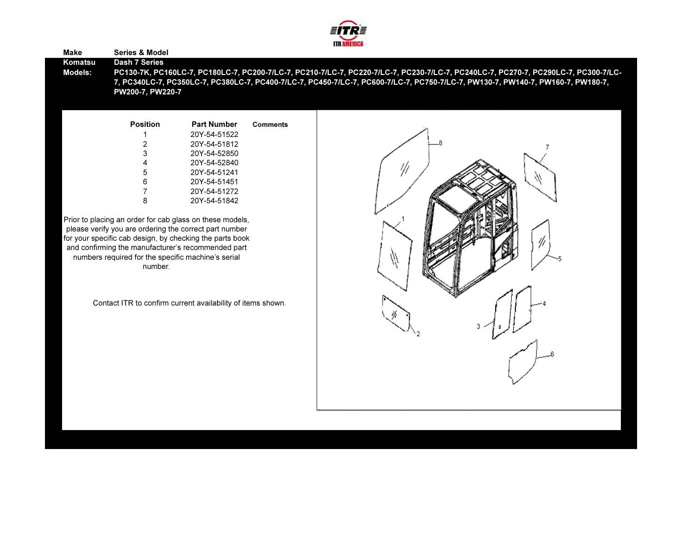

#### Make Series & ModelKomatsu Dash 7 SeriesModels:

 PC130-7K, PC160LC-7, PC180LC-7, PC200-7/LC-7, PC210-7/LC-7, PC220-7/LC-7, PC230-7/LC-7, PC240LC-7, PC270-7, PC290LC-7, PC300-7/LC-7, PC340LC-7, PC350LC-7, PC380LC-7, PC400-7/LC-7, PC450-7/LC-7, PC600-7/LC-7, PC750-7/LC-7, PW130-7, PW140-7, PW160-7, PW180-7, PW200-7, PW220-7

| <b>Position</b> | Part Number  | <b>Comments</b> |
|-----------------|--------------|-----------------|
|                 | 20Y-54-51522 |                 |
| 2               | 20Y-54-51812 |                 |
| 3               | 20Y-54-52850 |                 |
| 4               | 20Y-54-52840 |                 |
| 5               | 20Y-54-51241 |                 |
| 6               | 20Y-54-51451 |                 |
| 7               | 20Y-54-51272 |                 |
|                 | 20Y-54-51842 |                 |

Prior to placing an order for cab glass on these models, please verify you are ordering the correct part number for your specific cab design, by checking the parts book and confirming the manufacturer's recommended part numbers required for the specific machine's serial number.

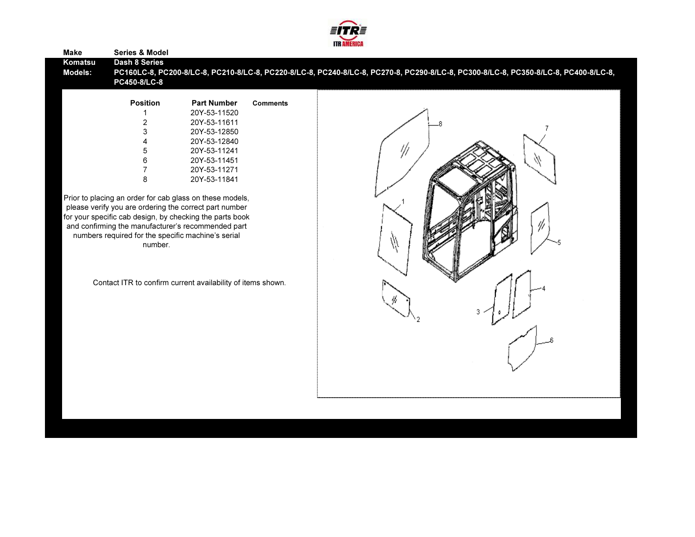

| <b>Make</b> | <b>Series &amp; Model</b>                                     |                                                             |                 |                                                                                                                                     |
|-------------|---------------------------------------------------------------|-------------------------------------------------------------|-----------------|-------------------------------------------------------------------------------------------------------------------------------------|
| Komatsu     | Dash 8 Series                                                 |                                                             |                 |                                                                                                                                     |
| Models:     |                                                               |                                                             |                 | PC160LC-8, PC200-8/LC-8, PC210-8/LC-8, PC220-8/LC-8, PC240-8/LC-8, PC270-8, PC290-8/LC-8, PC300-8/LC-8, PC350-8/LC-8, PC400-8/LC-8, |
|             | PC450-8/LC-8                                                  |                                                             |                 |                                                                                                                                     |
|             |                                                               |                                                             |                 |                                                                                                                                     |
|             | <b>Position</b>                                               | <b>Part Number</b>                                          | <b>Comments</b> |                                                                                                                                     |
|             |                                                               | 20Y-53-11520                                                |                 |                                                                                                                                     |
|             | $\boldsymbol{2}$                                              | 20Y-53-11611                                                |                 |                                                                                                                                     |
|             | $\mathsf 3$                                                   | 20Y-53-12850                                                |                 |                                                                                                                                     |
|             | 4                                                             | 20Y-53-12840                                                |                 |                                                                                                                                     |
|             | 5                                                             | 20Y-53-11241                                                |                 | ₩                                                                                                                                   |
|             | $\,6\,$                                                       | 20Y-53-11451                                                |                 |                                                                                                                                     |
|             | $\overline{7}$                                                | 20Y-53-11271                                                |                 |                                                                                                                                     |
|             | 8                                                             | 20Y-53-11841                                                |                 |                                                                                                                                     |
|             |                                                               |                                                             |                 |                                                                                                                                     |
|             |                                                               | Prior to placing an order for cab glass on these models,    |                 |                                                                                                                                     |
|             |                                                               | please verify you are ordering the correct part number      |                 |                                                                                                                                     |
|             |                                                               | for your specific cab design, by checking the parts book    |                 |                                                                                                                                     |
|             |                                                               | and confirming the manufacturer's recommended part          |                 |                                                                                                                                     |
|             | numbers required for the specific machine's serial<br>number. |                                                             |                 |                                                                                                                                     |
|             |                                                               |                                                             |                 |                                                                                                                                     |
|             |                                                               |                                                             |                 |                                                                                                                                     |
|             |                                                               |                                                             |                 |                                                                                                                                     |
|             |                                                               | Contact ITR to confirm current availability of items shown. |                 |                                                                                                                                     |
|             |                                                               |                                                             |                 |                                                                                                                                     |
|             |                                                               |                                                             |                 |                                                                                                                                     |
|             |                                                               |                                                             |                 |                                                                                                                                     |
|             |                                                               |                                                             |                 |                                                                                                                                     |
|             |                                                               |                                                             |                 |                                                                                                                                     |
|             |                                                               |                                                             |                 |                                                                                                                                     |
|             |                                                               |                                                             |                 |                                                                                                                                     |
|             |                                                               |                                                             |                 |                                                                                                                                     |
|             |                                                               |                                                             |                 |                                                                                                                                     |
|             |                                                               |                                                             |                 |                                                                                                                                     |
|             |                                                               |                                                             |                 |                                                                                                                                     |
|             |                                                               |                                                             |                 |                                                                                                                                     |
|             |                                                               |                                                             |                 |                                                                                                                                     |
|             |                                                               |                                                             |                 |                                                                                                                                     |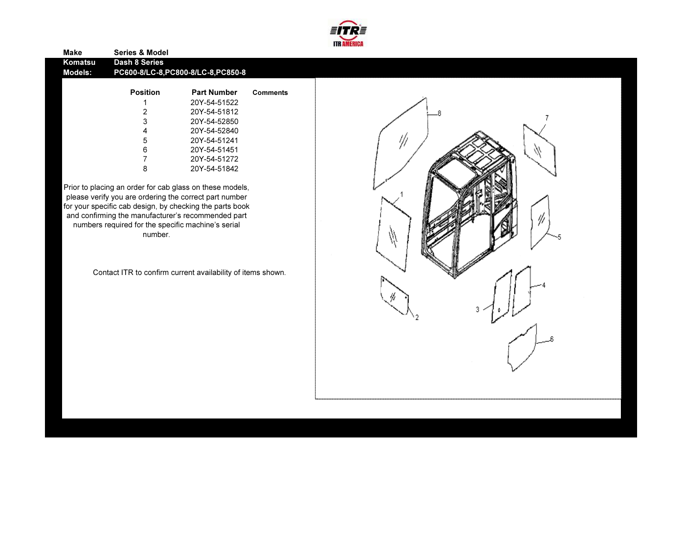

| Make    | <b>Series &amp; Model</b> |                                     |                 |
|---------|---------------------------|-------------------------------------|-----------------|
| Komatsu | Dash 8 Series             |                                     |                 |
| Models: |                           | PC600-8/LC-8, PC800-8/LC-8, PC850-8 |                 |
|         |                           |                                     |                 |
|         | <b>Position</b>           | <b>Part Number</b>                  | <b>Comments</b> |
|         |                           | 20Y-54-51522                        |                 |
|         | 2                         | 20Y-54-51812                        |                 |
|         | 3                         | 20Y-54-52850                        |                 |
|         | 4                         | 20Y-54-52840                        |                 |
|         | 5                         | 20Y-54-51241                        |                 |
|         | 6                         | 20Y-54-51451                        |                 |
|         |                           | 20Y-54-51272                        |                 |

Prior to placing an order for cab glass on these models, please verify you are ordering the correct part number for your specific cab design, by checking the parts book and confirming the manufacturer's recommended part numbers required for the specific machine's serial number.

Contact ITR to confirm current availability of items shown.

8 20Y-54-51842

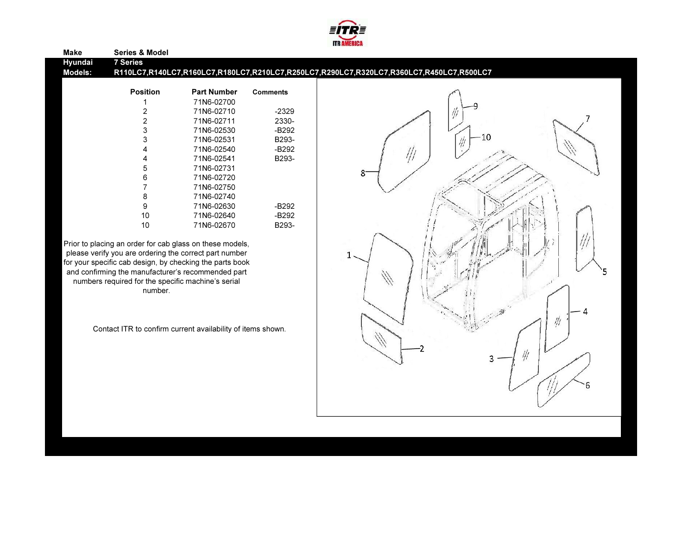

| <b>7 Series</b><br>Hyundai<br>R110LC7,R140LC7,R160LC7,R180LC7,R210LC7,R250LC7,R290LC7,R320LC7,R360LC7,R450LC7,R500LC7<br>Models:<br><b>Position</b><br><b>Part Number</b><br><b>Comments</b><br>71N6-02700<br>$-2329$<br>2<br>71N6-02710<br>2330-<br>71N6-02711<br>3<br>$-B292$<br>71N6-02530<br>$-10$<br>3<br>B293-<br>71N6-02531<br>71N6-02540<br>$-B292$<br>B293-<br>71N6-02541<br>71N6-02731<br>5<br>8<br>6<br>71N6-02720<br>71N6-02750<br>8<br>71N6-02740<br>9<br>71N6-02630<br>$-B292$<br>10<br>71N6-02640<br>-B292<br>10<br>B293-<br>71N6-02670<br>Prior to placing an order for cab glass on these models,<br>please verify you are ordering the correct part number | Make | <b>Series &amp; Model</b> |  |  |
|------------------------------------------------------------------------------------------------------------------------------------------------------------------------------------------------------------------------------------------------------------------------------------------------------------------------------------------------------------------------------------------------------------------------------------------------------------------------------------------------------------------------------------------------------------------------------------------------------------------------------------------------------------------------------|------|---------------------------|--|--|
|                                                                                                                                                                                                                                                                                                                                                                                                                                                                                                                                                                                                                                                                              |      |                           |  |  |
|                                                                                                                                                                                                                                                                                                                                                                                                                                                                                                                                                                                                                                                                              |      |                           |  |  |
|                                                                                                                                                                                                                                                                                                                                                                                                                                                                                                                                                                                                                                                                              |      |                           |  |  |
|                                                                                                                                                                                                                                                                                                                                                                                                                                                                                                                                                                                                                                                                              |      |                           |  |  |
|                                                                                                                                                                                                                                                                                                                                                                                                                                                                                                                                                                                                                                                                              |      |                           |  |  |
|                                                                                                                                                                                                                                                                                                                                                                                                                                                                                                                                                                                                                                                                              |      |                           |  |  |
|                                                                                                                                                                                                                                                                                                                                                                                                                                                                                                                                                                                                                                                                              |      |                           |  |  |
|                                                                                                                                                                                                                                                                                                                                                                                                                                                                                                                                                                                                                                                                              |      |                           |  |  |
|                                                                                                                                                                                                                                                                                                                                                                                                                                                                                                                                                                                                                                                                              |      |                           |  |  |
|                                                                                                                                                                                                                                                                                                                                                                                                                                                                                                                                                                                                                                                                              |      |                           |  |  |
|                                                                                                                                                                                                                                                                                                                                                                                                                                                                                                                                                                                                                                                                              |      |                           |  |  |
|                                                                                                                                                                                                                                                                                                                                                                                                                                                                                                                                                                                                                                                                              |      |                           |  |  |
|                                                                                                                                                                                                                                                                                                                                                                                                                                                                                                                                                                                                                                                                              |      |                           |  |  |
|                                                                                                                                                                                                                                                                                                                                                                                                                                                                                                                                                                                                                                                                              |      |                           |  |  |
|                                                                                                                                                                                                                                                                                                                                                                                                                                                                                                                                                                                                                                                                              |      |                           |  |  |
|                                                                                                                                                                                                                                                                                                                                                                                                                                                                                                                                                                                                                                                                              |      |                           |  |  |
|                                                                                                                                                                                                                                                                                                                                                                                                                                                                                                                                                                                                                                                                              |      |                           |  |  |
|                                                                                                                                                                                                                                                                                                                                                                                                                                                                                                                                                                                                                                                                              |      |                           |  |  |
|                                                                                                                                                                                                                                                                                                                                                                                                                                                                                                                                                                                                                                                                              |      |                           |  |  |
| for your specific cab design, by checking the parts book                                                                                                                                                                                                                                                                                                                                                                                                                                                                                                                                                                                                                     |      |                           |  |  |
| and confirming the manufacturer's recommended part                                                                                                                                                                                                                                                                                                                                                                                                                                                                                                                                                                                                                           |      |                           |  |  |
| numbers required for the specific machine's serial                                                                                                                                                                                                                                                                                                                                                                                                                                                                                                                                                                                                                           |      |                           |  |  |
| number.                                                                                                                                                                                                                                                                                                                                                                                                                                                                                                                                                                                                                                                                      |      |                           |  |  |
|                                                                                                                                                                                                                                                                                                                                                                                                                                                                                                                                                                                                                                                                              |      |                           |  |  |

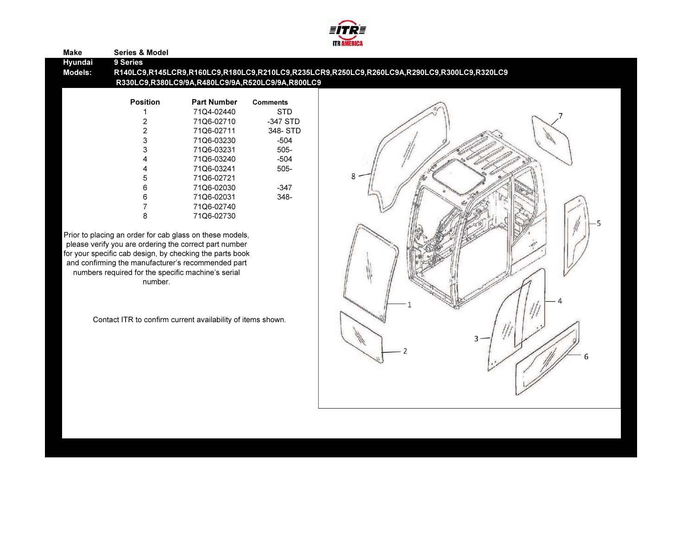

| Hyundai<br><b>Models:</b> | 9 Series<br><b>Position</b><br>2<br>$\overline{2}$<br>3<br>3<br>5<br>6 | R140LC9,R145LCR9,R160LC9,R180LC9,R210LC9,R235LCR9,R250LC9,R260LC9A,R290LC9,R300LC9,R320LC9<br>R330LC9,R380LC9/9A,R480LC9/9A,R520LC9/9A,R800LC9<br><b>Part Number</b><br>71Q4-02440<br>71Q6-02710<br>71Q6-02711<br>71Q6-03230<br>71Q6-03231<br>71Q6-03240<br>71Q6-03241<br>71Q6-02721       | <b>Comments</b><br><b>STD</b><br>-347 STD<br>348-STD<br>$-504$<br>505-<br>$-504$<br>$505 -$ |  |   |  |
|---------------------------|------------------------------------------------------------------------|--------------------------------------------------------------------------------------------------------------------------------------------------------------------------------------------------------------------------------------------------------------------------------------------|---------------------------------------------------------------------------------------------|--|---|--|
|                           |                                                                        |                                                                                                                                                                                                                                                                                            |                                                                                             |  |   |  |
|                           |                                                                        |                                                                                                                                                                                                                                                                                            |                                                                                             |  |   |  |
|                           |                                                                        |                                                                                                                                                                                                                                                                                            |                                                                                             |  |   |  |
|                           |                                                                        |                                                                                                                                                                                                                                                                                            |                                                                                             |  |   |  |
|                           |                                                                        |                                                                                                                                                                                                                                                                                            |                                                                                             |  |   |  |
|                           |                                                                        |                                                                                                                                                                                                                                                                                            |                                                                                             |  |   |  |
|                           |                                                                        |                                                                                                                                                                                                                                                                                            |                                                                                             |  |   |  |
|                           |                                                                        |                                                                                                                                                                                                                                                                                            |                                                                                             |  |   |  |
|                           |                                                                        |                                                                                                                                                                                                                                                                                            |                                                                                             |  |   |  |
|                           |                                                                        |                                                                                                                                                                                                                                                                                            |                                                                                             |  |   |  |
|                           |                                                                        |                                                                                                                                                                                                                                                                                            |                                                                                             |  |   |  |
|                           |                                                                        |                                                                                                                                                                                                                                                                                            |                                                                                             |  |   |  |
|                           |                                                                        |                                                                                                                                                                                                                                                                                            |                                                                                             |  |   |  |
|                           |                                                                        | 71Q6-02030                                                                                                                                                                                                                                                                                 | $-347$                                                                                      |  |   |  |
|                           | 6                                                                      | 71Q6-02031                                                                                                                                                                                                                                                                                 | 348-                                                                                        |  |   |  |
|                           |                                                                        | 71Q6-02740                                                                                                                                                                                                                                                                                 |                                                                                             |  |   |  |
|                           | 8                                                                      | 71Q6-02730                                                                                                                                                                                                                                                                                 |                                                                                             |  |   |  |
|                           | number.                                                                | Prior to placing an order for cab glass on these models,<br>please verify you are ordering the correct part number<br>for your specific cab design, by checking the parts book<br>and confirming the manufacturer's recommended part<br>numbers required for the specific machine's serial |                                                                                             |  |   |  |
|                           |                                                                        | Contact ITR to confirm current availability of items shown.                                                                                                                                                                                                                                |                                                                                             |  | 3 |  |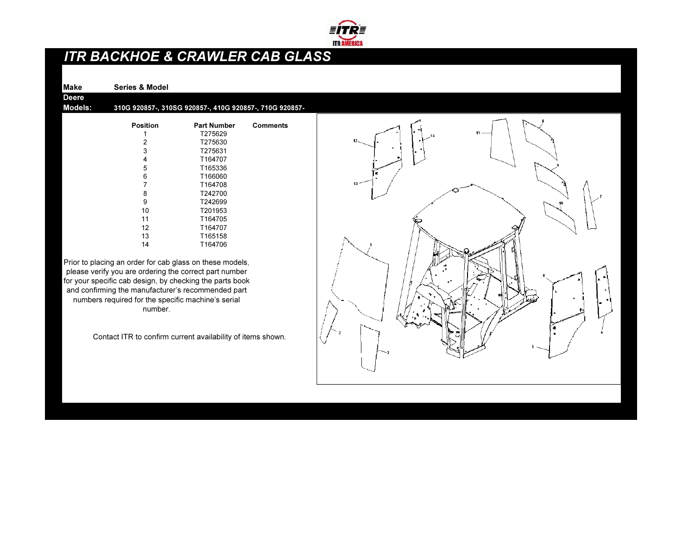

# ITR BACKHOE & CRAWLER CAB GLASS

Make Series & Model

DeereModels:

310G 920857-, 310SG 920857-, 410G 920857-, 710G 920857-

| <b>Position</b> | <b>Part Number</b> | Comments |
|-----------------|--------------------|----------|
| 1               | T275629            |          |
| 2               | T275630            |          |
| 3               | T275631            |          |
| 4               | T164707            |          |
| 5               | T165336            |          |
| 6               | T166060            |          |
| 7               | T164708            |          |
| 8               | T242700            |          |
| 9               | T242699            |          |
| 10              | T201953            |          |
| 11              | T164705            |          |
| 12              | T164707            |          |
| 13              | T165158            |          |
| 14              | T164706            |          |
|                 |                    |          |

Prior to placing an order for cab glass on these models, please verify you are ordering the correct part number for your specific cab design, by checking the parts book and confirming the manufacturer's recommended part numbers required for the specific machine's serial number.

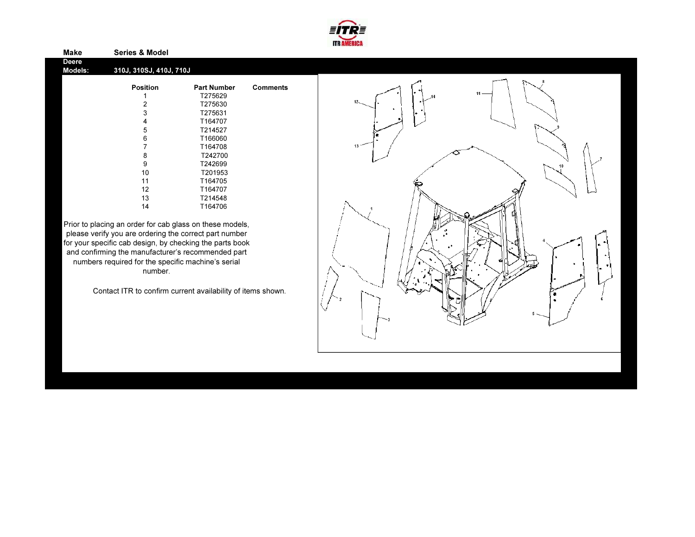

| Deere<br>Models: | 310J, 310SJ, 410J, 710J |                    |                 |
|------------------|-------------------------|--------------------|-----------------|
|                  | <b>Position</b>         | <b>Part Number</b> | <b>Comments</b> |
|                  | 1                       | T275629            |                 |
|                  | 2                       | T275630            |                 |
|                  | 3                       | T275631            |                 |
|                  | 4                       | T164707            |                 |
|                  | 5                       | T214527            |                 |
|                  | 6                       | T166060            |                 |
|                  | 7                       | T164708            |                 |
|                  | 8                       | T242700            |                 |
|                  | 9                       | T242699            |                 |
|                  | 10                      | T201953            |                 |
|                  | 11                      | T164705            |                 |
|                  | 12                      | T164707            |                 |
|                  | 13                      | T214548            |                 |
|                  | 14                      | T164706            |                 |
|                  |                         |                    |                 |

Make Series & Model

Prior to placing an order for cab glass on these models, please verify you are ordering the correct part number for your specific cab design, by checking the parts book and confirming the manufacturer's recommended part numbers required for the specific machine's serial number.

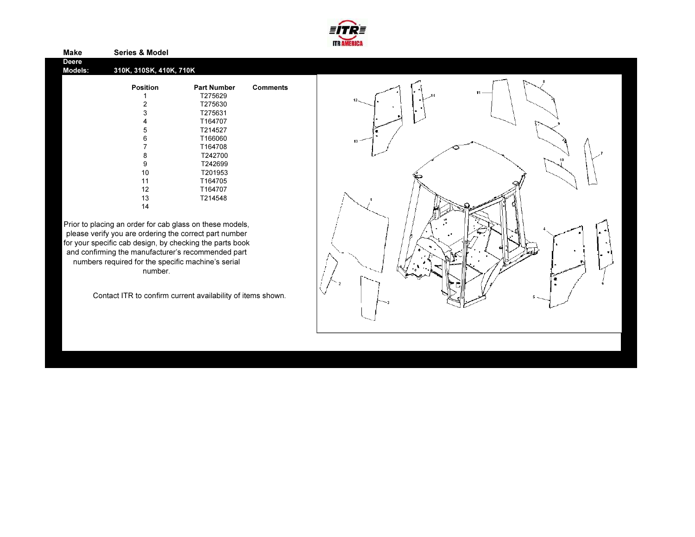

| Deere<br>Models: | 310K, 310SK, 410K, 710K |                    |                 |
|------------------|-------------------------|--------------------|-----------------|
|                  | <b>Position</b>         | <b>Part Number</b> | <b>Comments</b> |
|                  | 1                       | T275629            |                 |
|                  | 2                       | T275630            |                 |
|                  | 3                       | T275631            |                 |
|                  | 4                       | T164707            |                 |
|                  | 5                       | T214527            |                 |
|                  | 6                       | T166060            |                 |
|                  | 7                       | T164708            |                 |
|                  | 8                       | T242700            |                 |
|                  | 9                       | T242699            |                 |
|                  | 10                      | T201953            |                 |
|                  | 11                      | T164705            |                 |
|                  | 12                      | T164707            |                 |
|                  | 13                      | T214548            |                 |
|                  | 14                      |                    |                 |
|                  |                         |                    |                 |

Make Series & Model

Prior to placing an order for cab glass on these models, please verify you are ordering the correct part number for your specific cab design, by checking the parts book and confirming the manufacturer's recommended part numbers required for the specific machine's serial number.

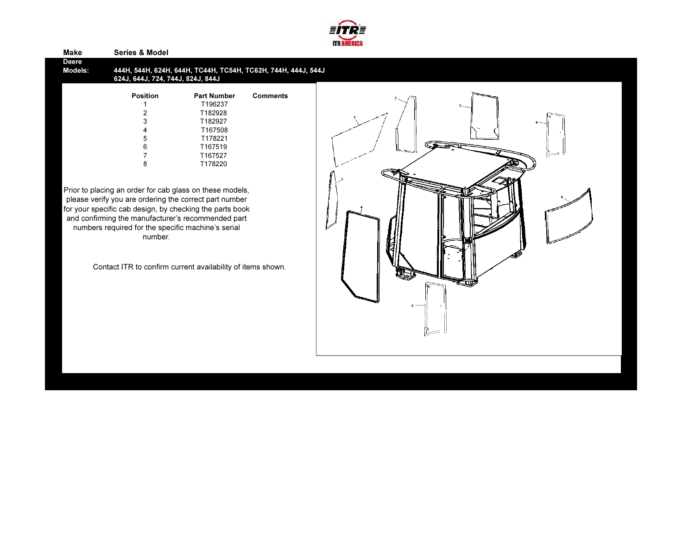

| <b>Make</b>                    | <b>Series &amp; Model</b>                                                                                                                                                                                                                                                                                                                                                                         |                                                                                                            |                                                               |  |  |  |
|--------------------------------|---------------------------------------------------------------------------------------------------------------------------------------------------------------------------------------------------------------------------------------------------------------------------------------------------------------------------------------------------------------------------------------------------|------------------------------------------------------------------------------------------------------------|---------------------------------------------------------------|--|--|--|
| <b>Deere</b><br><b>Models:</b> | 624J, 644J, 724, 744J, 824J, 844J                                                                                                                                                                                                                                                                                                                                                                 |                                                                                                            | 444Н, 544Н, 624Н, 644Н, ТС44Н, ТС54Н, ТС62Н, 744Н, 444Ј, 544Ј |  |  |  |
|                                | <b>Position</b><br>3<br>8<br>Prior to placing an order for cab glass on these models,<br>please verify you are ordering the correct part number<br>for your specific cab design, by checking the parts book<br>and confirming the manufacturer's recommended part<br>numbers required for the specific machine's serial<br>number.<br>Contact ITR to confirm current availability of items shown. | <b>Part Number</b><br>T196237<br>T182928<br>T182927<br>T167508<br>T178221<br>T167519<br>T167527<br>T178220 | <b>Comments</b>                                               |  |  |  |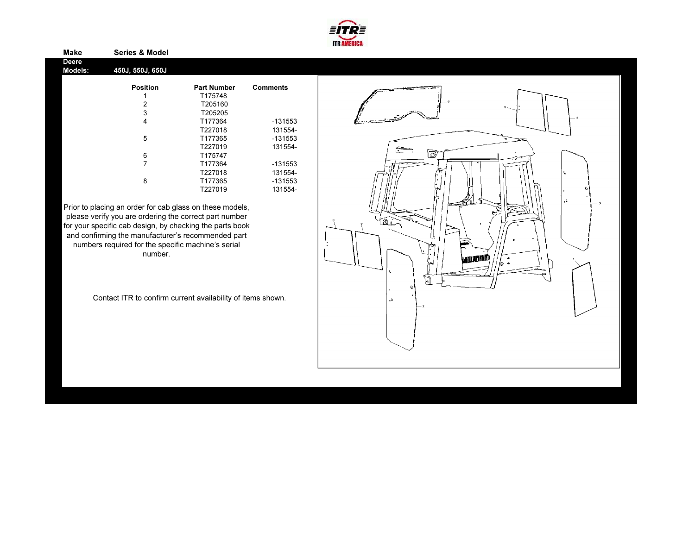

| <b>Position</b> | <b>Part Number</b> | <b>Comments</b> |
|-----------------|--------------------|-----------------|
|                 | T175748            |                 |
| 2               | T205160            |                 |
| 3               | T205205            |                 |
| 4               | T177364            | $-131553$       |
|                 | T227018            | 131554-         |
| 5               | T177365            | -131553         |
|                 | T227019            | 131554-         |
| 6               | T175747            |                 |
| 7               | T177364            | $-131553$       |
|                 | T227018            | 131554-         |
| 8               | T177365            | $-131553$       |
|                 | T227019            | 131554-         |
|                 | 450J, 550J, 650J   |                 |

Prior to placing an order for cab glass on these models, please verify you are ordering the correct part number for your specific cab design, by checking the parts book and confirming the manufacturer's recommended part numbers required for the specific machine's serial number.

Make Series & Model

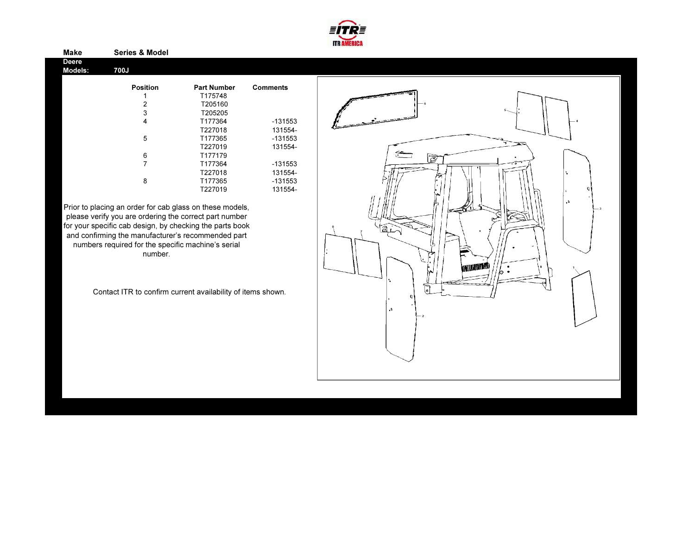

| Deere<br>Models: | 700J            |                    |                 |  |
|------------------|-----------------|--------------------|-----------------|--|
|                  | <b>Position</b> | <b>Part Number</b> | <b>Comments</b> |  |
|                  |                 | T175748            |                 |  |
|                  | 2               | T205160            |                 |  |
|                  | 3               | T205205            |                 |  |
|                  | 4               | T177364            | -131553         |  |
|                  |                 | T227018            | 131554-         |  |
|                  | 5               | T177365            | $-131553$       |  |
|                  |                 | T227019            | 131554-         |  |
|                  | 6               | T177179            |                 |  |
|                  | 7               | T177364            | $-131553$       |  |
|                  |                 | T227018            | 131554-         |  |
|                  | 8               | T177365            | $-131553$       |  |
|                  |                 | T227019            | 131554-         |  |

Prior to placing an order for cab glass on these models, please verify you are ordering the correct part number for your specific cab design, by checking the parts book and confirming the manufacturer's recommended part numbers required for the specific machine's serial number.

Make Series & Model